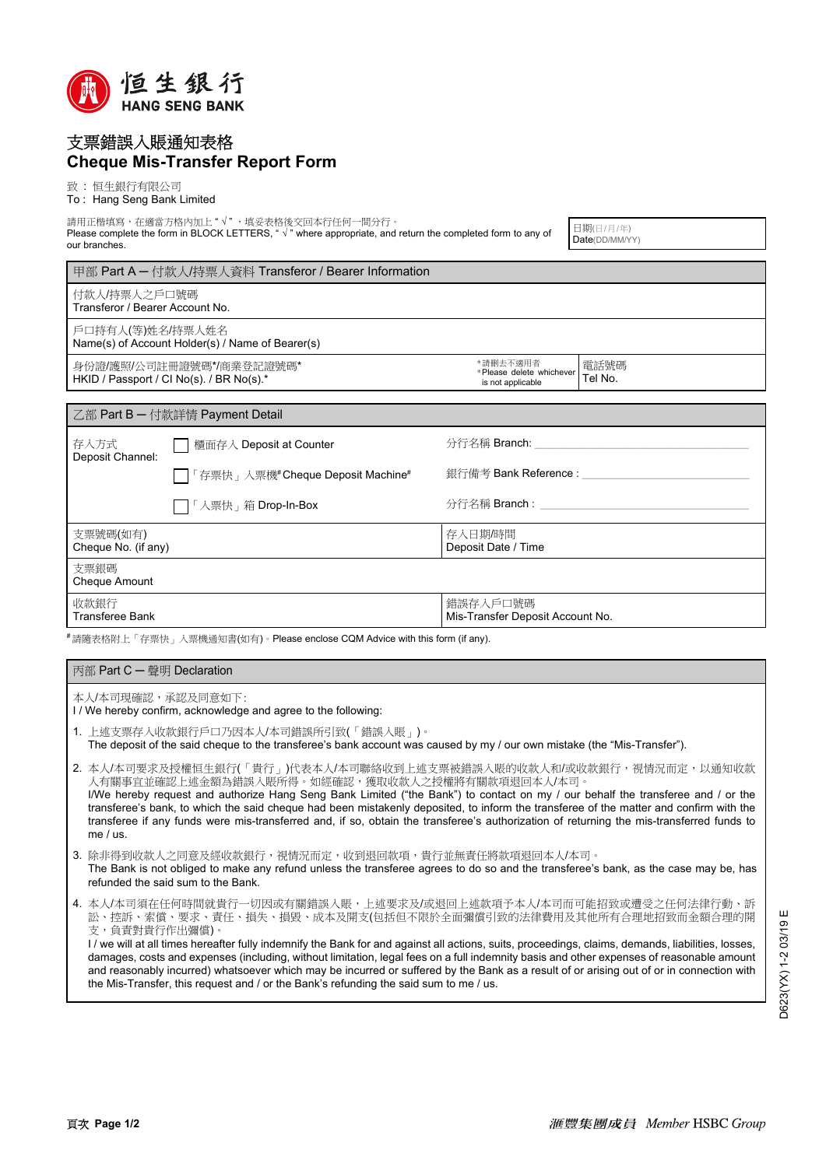

## 支票錯誤入賬通知表格 **Cheque Mis-Transfer Report Form**

致 : 恒生銀行有限公司

To : Hang Seng Bank Limited

請用正楷填寫,在適當方格內加上" √ " ,填妥表格後交回本行任何一間分行。 Please complete the form in BLOCK LETTERS, " √ " where appropriate, and return the completed form to any of our branches.

日期(日/月/年) Date(DD/MM/YY)

付款人/持票人之戶口號碼 Transferor / Bearer Account No. 電話號碼 Tel No. 戶口持有人(等)姓名/持票人姓名 Name(s) of Account Holder(s) / Name of Bearer(s) 身份證/護照/公司註冊證號碼\*/商業登記證號碼\* \*請刪去不適用者 \* Please delete whichever 甲部 Part A ─ 付款人/持票人資料 Transferor / Bearer Information

HKID / Passport / CI No(s). / BR No(s).'

| 乙部 Part B - 付款詳情 Payment Detail |                                   |                                              |  |
|---------------------------------|-----------------------------------|----------------------------------------------|--|
| 存入方式<br>Deposit Channel:        | □ 櫃面存入 Deposit at Counter         | 分行名稱 Branch:                                 |  |
|                                 | □「存票快」入票機#Cheque Deposit Machine# | 銀行備考 Bank Reference :                        |  |
|                                 | □「入票快」箱 Drop-In-Box               | 分行名稱 Branch :                                |  |
| 支票號碼(如有)<br>Cheque No. (if any) |                                   | 存入日期/時間<br>Deposit Date / Time               |  |
| 支票銀碼<br><b>Cheque Amount</b>    |                                   |                                              |  |
| 收款銀行<br><b>Transferee Bank</b>  |                                   | 錯誤存入戶口號碼<br>Mis-Transfer Deposit Account No. |  |

is not applicable

#請隨表格附上「存票快」入票機通知書(如有)。Please enclose CQM Advice with this form (if any).

| 丙部 Part C — 聲明 Declaration                                                        |                                                                                                                                                                                                                                                                                                                                                                                                                                                                                                                                                             |  |
|-----------------------------------------------------------------------------------|-------------------------------------------------------------------------------------------------------------------------------------------------------------------------------------------------------------------------------------------------------------------------------------------------------------------------------------------------------------------------------------------------------------------------------------------------------------------------------------------------------------------------------------------------------------|--|
| 本人/本司現確認,承認及同意如下:<br>I/We hereby confirm, acknowledge and agree to the following: |                                                                                                                                                                                                                                                                                                                                                                                                                                                                                                                                                             |  |
|                                                                                   | 1.上述支票存入收款銀行戶口乃因本人/本司錯誤所引致(「錯誤入賬」)。<br>The deposit of the said cheque to the transferee's bank account was caused by my / our own mistake (the "Mis-Transfer").                                                                                                                                                                                                                                                                                                                                                                                             |  |
|                                                                                   | 2. 本人/本司要求及授權恒生銀行(「貴行」)代表本人/本司聯絡收到上述支票被錯誤入賬的收款人和/或收款銀行,視情況而定,以通知收款<br>人有關事官並確認上述金額為錯誤入賬所得。如經確認,獲取收款人之授權將有關款項退回本人/本司。<br>I/We hereby request and authorize Hang Seng Bank Limited ("the Bank") to contact on my / our behalf the transferee and / or the<br>transferee's bank, to which the said cheque had been mistakenly deposited, to inform the transferee of the matter and confirm with the<br>transferee if any funds were mis-transferred and, if so, obtain the transferee's authorization of returning the mis-transferred funds to<br>me $/$ us. |  |
|                                                                                   | 3. 除非得到收款人之同意及經收款銀行,視情況而定,收到退回款項,貴行並無責任將款項退回本人/本司。<br>The Bank is not obliged to make any refund unless the transferee agrees to do so and the transferee's bank, as the case may be, has<br>refunded the said sum to the Bank.                                                                                                                                                                                                                                                                                                                             |  |
|                                                                                   | 4. 本人/本司須在任何時間就貴行一切因或有關錯誤入賬,上述要求及/或退回上述款項予本人/本司而可能招致或遭受之任何法律行動、訴<br>訟、控訴、索償、要求、責任、損失、損毀、成本及開支(包括但不限於全面彌償引致的法律費用及其他所有合理地招致而金額合理的開<br>支,負責對貴行作出彌償)。                                                                                                                                                                                                                                                                                                                                                                                                           |  |

I / we will at all times hereafter fully indemnify the Bank for and against all actions, suits, proceedings, claims, demands, liabilities, losses, damages, costs and expenses (including, without limitation, legal fees on a full indemnity basis and other expenses of reasonable amount and reasonably incurred) whatsoever which may be incurred or suffered by the Bank as a result of or arising out of or in connection with the Mis-Transfer, this request and / or the Bank's refunding the said sum to me / us.